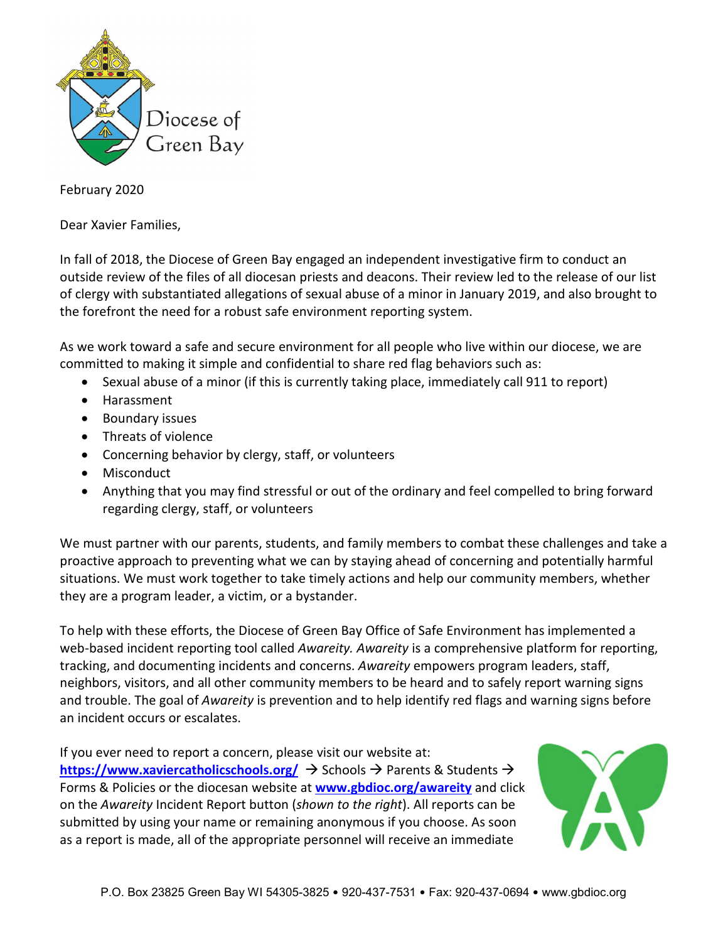

February 2020

Dear Xavier Families,

In fall of 2018, the Diocese of Green Bay engaged an independent investigative firm to conduct an outside review of the files of all diocesan priests and deacons. Their review led to the release of our list of clergy with substantiated allegations of sexual abuse of a minor in January 2019, and also brought to the forefront the need for a robust safe environment reporting system.

As we work toward a safe and secure environment for all people who live within our diocese, we are committed to making it simple and confidential to share red flag behaviors such as:

- Sexual abuse of a minor (if this is currently taking place, immediately call 911 to report)
- Harassment
- Boundary issues
- Threats of violence
- Concerning behavior by clergy, staff, or volunteers
- Misconduct
- Anything that you may find stressful or out of the ordinary and feel compelled to bring forward regarding clergy, staff, or volunteers

We must partner with our parents, students, and family members to combat these challenges and take a proactive approach to preventing what we can by staying ahead of concerning and potentially harmful situations. We must work together to take timely actions and help our community members, whether they are a program leader, a victim, or a bystander.

To help with these efforts, the Diocese of Green Bay Office of Safe Environment has implemented a web-based incident reporting tool called *Awareity. Awareity* is a comprehensive platform for reporting, tracking, and documenting incidents and concerns. *Awareity* empowers program leaders, staff, neighbors, visitors, and all other community members to be heard and to safely report warning signs and trouble. The goal of *Awareity* is prevention and to help identify red flags and warning signs before an incident occurs or escalates.

If you ever need to report a concern, please visit our website at: **<https://www.xaviercatholicschools.org/>**  $\rightarrow$  Schools  $\rightarrow$  Parents & Students  $\rightarrow$ Forms & Policies or the diocesan website at **[www.gbdioc.org/awareity](http://www.gbdioc.org/awareity)** and click on the *Awareity* Incident Report button (*shown to the right*). All reports can be submitted by using your name or remaining anonymous if you choose. As soon as a report is made, all of the appropriate personnel will receive an immediate